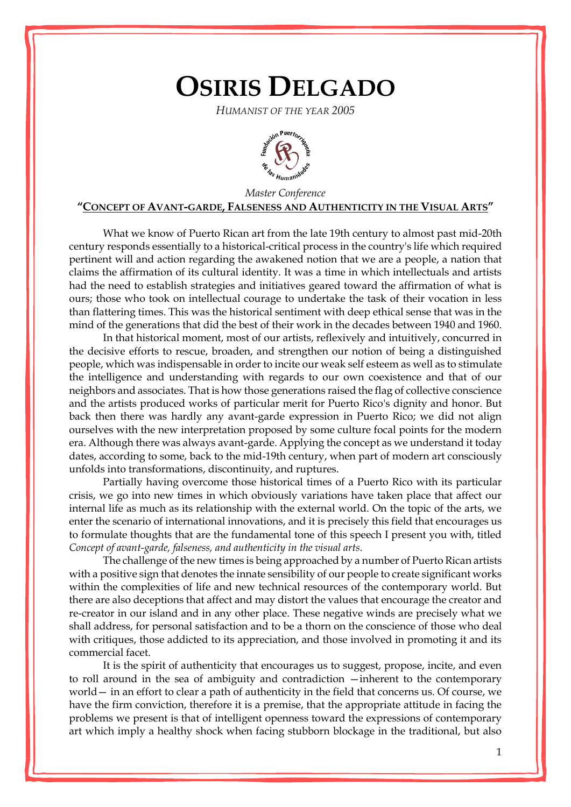## **OSIRIS DELGADO**

*HUMANIST OF THE YEAR 2005*



## *Master Conference* **"CONCEPT OF AVANT-GARDE, FALSENESS AND AUTHENTICITY IN THE VISUAL ARTS"**

What we know of Puerto Rican art from the late 19th century to almost past mid-20th century responds essentially to a historical-critical process in the country's life which required pertinent will and action regarding the awakened notion that we are a people, a nation that claims the affirmation of its cultural identity. It was a time in which intellectuals and artists had the need to establish strategies and initiatives geared toward the affirmation of what is ours; those who took on intellectual courage to undertake the task of their vocation in less than flattering times. This was the historical sentiment with deep ethical sense that was in the mind of the generations that did the best of their work in the decades between 1940 and 1960.

In that historical moment, most of our artists, reflexively and intuitively, concurred in the decisive efforts to rescue, broaden, and strengthen our notion of being a distinguished people, which was indispensable in order to incite our weak self esteem as well as to stimulate the intelligence and understanding with regards to our own coexistence and that of our neighbors and associates. That is how those generations raised the flag of collective conscience and the artists produced works of particular merit for Puerto Rico's dignity and honor. But back then there was hardly any avant-garde expression in Puerto Rico; we did not align ourselves with the new interpretation proposed by some culture focal points for the modern era. Although there was always avant-garde. Applying the concept as we understand it today dates, according to some, back to the mid-19th century, when part of modern art consciously unfolds into transformations, discontinuity, and ruptures.

Partially having overcome those historical times of a Puerto Rico with its particular crisis, we go into new times in which obviously variations have taken place that affect our internal life as much as its relationship with the external world. On the topic of the arts, we enter the scenario of international innovations, and it is precisely this field that encourages us to formulate thoughts that are the fundamental tone of this speech I present you with, titled *Concept of avant-garde, falseness, and authenticity in the visual arts*.

The challenge of the new times is being approached by a number of Puerto Rican artists with a positive sign that denotes the innate sensibility of our people to create significant works within the complexities of life and new technical resources of the contemporary world. But there are also deceptions that affect and may distort the values that encourage the creator and re-creator in our island and in any other place. These negative winds are precisely what we shall address, for personal satisfaction and to be a thorn on the conscience of those who deal with critiques, those addicted to its appreciation, and those involved in promoting it and its commercial facet.

It is the spirit of authenticity that encourages us to suggest, propose, incite, and even to roll around in the sea of ambiguity and contradiction —inherent to the contemporary world— in an effort to clear a path of authenticity in the field that concerns us. Of course, we have the firm conviction, therefore it is a premise, that the appropriate attitude in facing the problems we present is that of intelligent openness toward the expressions of contemporary art which imply a healthy shock when facing stubborn blockage in the traditional, but also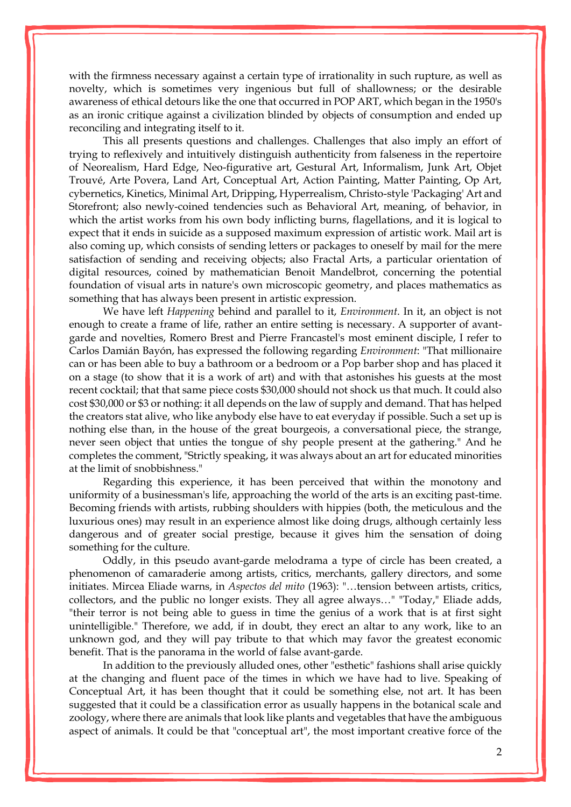with the firmness necessary against a certain type of irrationality in such rupture, as well as novelty, which is sometimes very ingenious but full of shallowness; or the desirable awareness of ethical detours like the one that occurred in POP ART, which began in the 1950's as an ironic critique against a civilization blinded by objects of consumption and ended up reconciling and integrating itself to it.

This all presents questions and challenges. Challenges that also imply an effort of trying to reflexively and intuitively distinguish authenticity from falseness in the repertoire of Neorealism, Hard Edge, Neo-figurative art, Gestural Art, Informalism, Junk Art, Objet Trouvé, Arte Povera, Land Art, Conceptual Art, Action Painting, Matter Painting, Op Art, cybernetics, Kinetics, Minimal Art, Dripping, Hyperrealism, Christo-style 'Packaging' Art and Storefront; also newly-coined tendencies such as Behavioral Art, meaning, of behavior, in which the artist works from his own body inflicting burns, flagellations, and it is logical to expect that it ends in suicide as a supposed maximum expression of artistic work. Mail art is also coming up, which consists of sending letters or packages to oneself by mail for the mere satisfaction of sending and receiving objects; also Fractal Arts, a particular orientation of digital resources, coined by mathematician Benoit Mandelbrot, concerning the potential foundation of visual arts in nature's own microscopic geometry, and places mathematics as something that has always been present in artistic expression.

We have left *Happening* behind and parallel to it, *Environment*. In it, an object is not enough to create a frame of life, rather an entire setting is necessary. A supporter of avantgarde and novelties, Romero Brest and Pierre Francastel's most eminent disciple, I refer to Carlos Damián Bayón, has expressed the following regarding *Environment*: "That millionaire can or has been able to buy a bathroom or a bedroom or a Pop barber shop and has placed it on a stage (to show that it is a work of art) and with that astonishes his guests at the most recent cocktail; that that same piece costs \$30,000 should not shock us that much. It could also cost \$30,000 or \$3 or nothing: it all depends on the law of supply and demand. That has helped the creators stat alive, who like anybody else have to eat everyday if possible. Such a set up is nothing else than, in the house of the great bourgeois, a conversational piece, the strange, never seen object that unties the tongue of shy people present at the gathering." And he completes the comment, "Strictly speaking, it was always about an art for educated minorities at the limit of snobbishness."

Regarding this experience, it has been perceived that within the monotony and uniformity of a businessman's life, approaching the world of the arts is an exciting past-time. Becoming friends with artists, rubbing shoulders with hippies (both, the meticulous and the luxurious ones) may result in an experience almost like doing drugs, although certainly less dangerous and of greater social prestige, because it gives him the sensation of doing something for the culture.

Oddly, in this pseudo avant-garde melodrama a type of circle has been created, a phenomenon of camaraderie among artists, critics, merchants, gallery directors, and some initiates. Mircea Eliade warns, in *Aspectos del mito* (1963): "…tension between artists, critics, collectors, and the public no longer exists. They all agree always…" "Today," Eliade adds, "their terror is not being able to guess in time the genius of a work that is at first sight unintelligible." Therefore, we add, if in doubt, they erect an altar to any work, like to an unknown god, and they will pay tribute to that which may favor the greatest economic benefit. That is the panorama in the world of false avant-garde.

In addition to the previously alluded ones, other "esthetic" fashions shall arise quickly at the changing and fluent pace of the times in which we have had to live. Speaking of Conceptual Art, it has been thought that it could be something else, not art. It has been suggested that it could be a classification error as usually happens in the botanical scale and zoology, where there are animals that look like plants and vegetables that have the ambiguous aspect of animals. It could be that "conceptual art", the most important creative force of the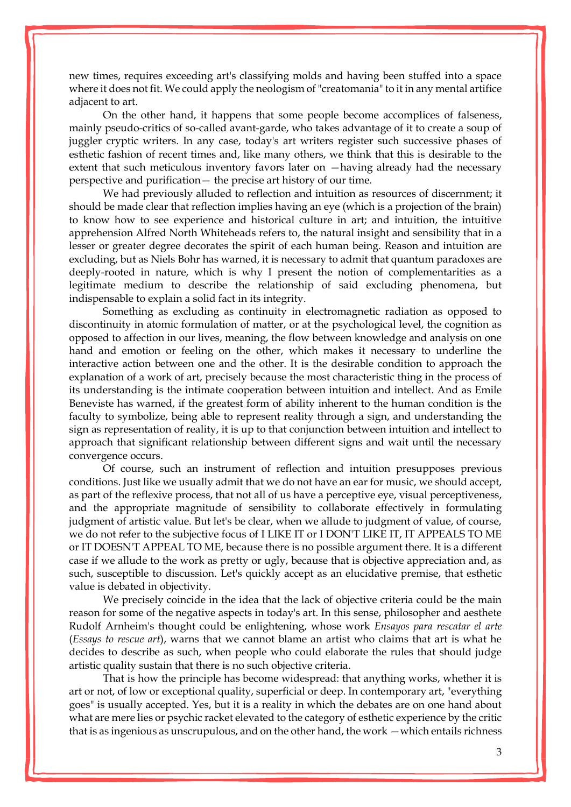new times, requires exceeding art's classifying molds and having been stuffed into a space where it does not fit. We could apply the neologism of "creatomania" to it in any mental artifice adjacent to art.

On the other hand, it happens that some people become accomplices of falseness, mainly pseudo-critics of so-called avant-garde, who takes advantage of it to create a soup of juggler cryptic writers. In any case, today's art writers register such successive phases of esthetic fashion of recent times and, like many others, we think that this is desirable to the extent that such meticulous inventory favors later on —having already had the necessary perspective and purification— the precise art history of our time.

We had previously alluded to reflection and intuition as resources of discernment; it should be made clear that reflection implies having an eye (which is a projection of the brain) to know how to see experience and historical culture in art; and intuition, the intuitive apprehension Alfred North Whiteheads refers to, the natural insight and sensibility that in a lesser or greater degree decorates the spirit of each human being. Reason and intuition are excluding, but as Niels Bohr has warned, it is necessary to admit that quantum paradoxes are deeply-rooted in nature, which is why I present the notion of complementarities as a legitimate medium to describe the relationship of said excluding phenomena, but indispensable to explain a solid fact in its integrity.

Something as excluding as continuity in electromagnetic radiation as opposed to discontinuity in atomic formulation of matter, or at the psychological level, the cognition as opposed to affection in our lives, meaning, the flow between knowledge and analysis on one hand and emotion or feeling on the other, which makes it necessary to underline the interactive action between one and the other. It is the desirable condition to approach the explanation of a work of art, precisely because the most characteristic thing in the process of its understanding is the intimate cooperation between intuition and intellect. And as Emile Beneviste has warned, if the greatest form of ability inherent to the human condition is the faculty to symbolize, being able to represent reality through a sign, and understanding the sign as representation of reality, it is up to that conjunction between intuition and intellect to approach that significant relationship between different signs and wait until the necessary convergence occurs.

Of course, such an instrument of reflection and intuition presupposes previous conditions. Just like we usually admit that we do not have an ear for music, we should accept, as part of the reflexive process, that not all of us have a perceptive eye, visual perceptiveness, and the appropriate magnitude of sensibility to collaborate effectively in formulating judgment of artistic value. But let's be clear, when we allude to judgment of value, of course, we do not refer to the subjective focus of I LIKE IT or I DON'T LIKE IT, IT APPEALS TO ME or IT DOESN'T APPEAL TO ME, because there is no possible argument there. It is a different case if we allude to the work as pretty or ugly, because that is objective appreciation and, as such, susceptible to discussion. Let's quickly accept as an elucidative premise, that esthetic value is debated in objectivity.

We precisely coincide in the idea that the lack of objective criteria could be the main reason for some of the negative aspects in today's art. In this sense, philosopher and aesthete Rudolf Arnheim's thought could be enlightening, whose work *Ensayos para rescatar el arte* (*Essays to rescue art*), warns that we cannot blame an artist who claims that art is what he decides to describe as such, when people who could elaborate the rules that should judge artistic quality sustain that there is no such objective criteria.

That is how the principle has become widespread: that anything works, whether it is art or not, of low or exceptional quality, superficial or deep. In contemporary art, "everything goes" is usually accepted. Yes, but it is a reality in which the debates are on one hand about what are mere lies or psychic racket elevated to the category of esthetic experience by the critic that is as ingenious as unscrupulous, and on the other hand, the work —which entails richness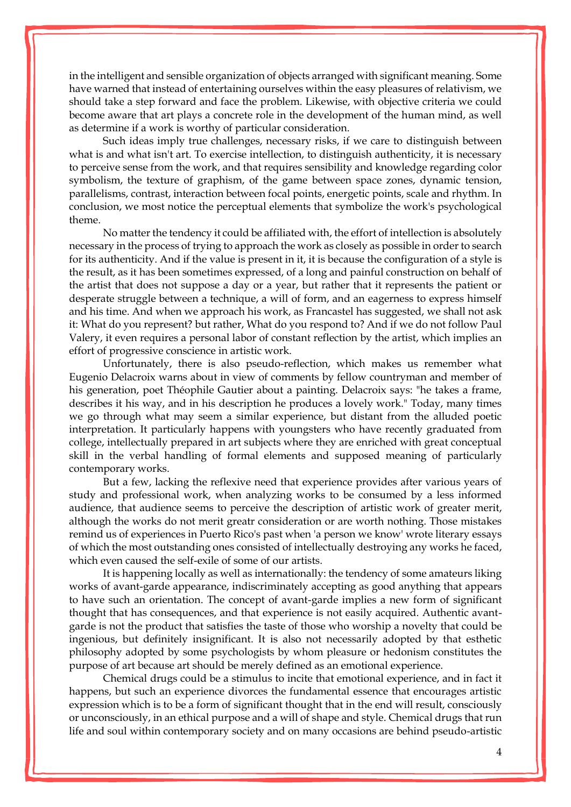in the intelligent and sensible organization of objects arranged with significant meaning. Some have warned that instead of entertaining ourselves within the easy pleasures of relativism, we should take a step forward and face the problem. Likewise, with objective criteria we could become aware that art plays a concrete role in the development of the human mind, as well as determine if a work is worthy of particular consideration.

Such ideas imply true challenges, necessary risks, if we care to distinguish between what is and what isn't art. To exercise intellection, to distinguish authenticity, it is necessary to perceive sense from the work, and that requires sensibility and knowledge regarding color symbolism, the texture of graphism, of the game between space zones, dynamic tension, parallelisms, contrast, interaction between focal points, energetic points, scale and rhythm. In conclusion, we most notice the perceptual elements that symbolize the work's psychological theme.

No matter the tendency it could be affiliated with, the effort of intellection is absolutely necessary in the process of trying to approach the work as closely as possible in order to search for its authenticity. And if the value is present in it, it is because the configuration of a style is the result, as it has been sometimes expressed, of a long and painful construction on behalf of the artist that does not suppose a day or a year, but rather that it represents the patient or desperate struggle between a technique, a will of form, and an eagerness to express himself and his time. And when we approach his work, as Francastel has suggested, we shall not ask it: What do you represent? but rather, What do you respond to? And if we do not follow Paul Valery, it even requires a personal labor of constant reflection by the artist, which implies an effort of progressive conscience in artistic work.

Unfortunately, there is also pseudo-reflection, which makes us remember what Eugenio Delacroix warns about in view of comments by fellow countryman and member of his generation, poet Théophile Gautier about a painting. Delacroix says: "he takes a frame, describes it his way, and in his description he produces a lovely work." Today, many times we go through what may seem a similar experience, but distant from the alluded poetic interpretation. It particularly happens with youngsters who have recently graduated from college, intellectually prepared in art subjects where they are enriched with great conceptual skill in the verbal handling of formal elements and supposed meaning of particularly contemporary works.

But a few, lacking the reflexive need that experience provides after various years of study and professional work, when analyzing works to be consumed by a less informed audience, that audience seems to perceive the description of artistic work of greater merit, although the works do not merit greatr consideration or are worth nothing. Those mistakes remind us of experiences in Puerto Rico's past when 'a person we know' wrote literary essays of which the most outstanding ones consisted of intellectually destroying any works he faced, which even caused the self-exile of some of our artists.

It is happening locally as well as internationally: the tendency of some amateurs liking works of avant-garde appearance, indiscriminately accepting as good anything that appears to have such an orientation. The concept of avant-garde implies a new form of significant thought that has consequences, and that experience is not easily acquired. Authentic avantgarde is not the product that satisfies the taste of those who worship a novelty that could be ingenious, but definitely insignificant. It is also not necessarily adopted by that esthetic philosophy adopted by some psychologists by whom pleasure or hedonism constitutes the purpose of art because art should be merely defined as an emotional experience.

Chemical drugs could be a stimulus to incite that emotional experience, and in fact it happens, but such an experience divorces the fundamental essence that encourages artistic expression which is to be a form of significant thought that in the end will result, consciously or unconsciously, in an ethical purpose and a will of shape and style. Chemical drugs that run life and soul within contemporary society and on many occasions are behind pseudo-artistic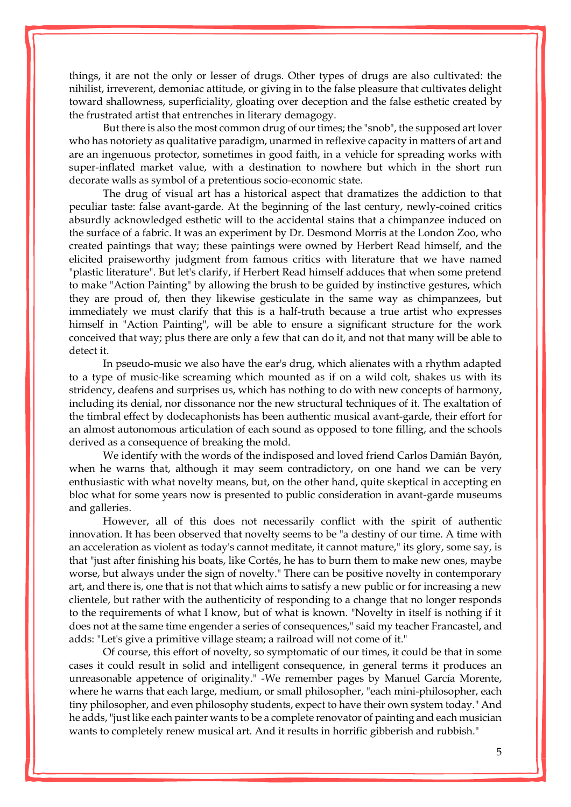things, it are not the only or lesser of drugs. Other types of drugs are also cultivated: the nihilist, irreverent, demoniac attitude, or giving in to the false pleasure that cultivates delight toward shallowness, superficiality, gloating over deception and the false esthetic created by the frustrated artist that entrenches in literary demagogy.

But there is also the most common drug of our times; the "snob", the supposed art lover who has notoriety as qualitative paradigm, unarmed in reflexive capacity in matters of art and are an ingenuous protector, sometimes in good faith, in a vehicle for spreading works with super-inflated market value, with a destination to nowhere but which in the short run decorate walls as symbol of a pretentious socio-economic state.

The drug of visual art has a historical aspect that dramatizes the addiction to that peculiar taste: false avant-garde. At the beginning of the last century, newly-coined critics absurdly acknowledged esthetic will to the accidental stains that a chimpanzee induced on the surface of a fabric. It was an experiment by Dr. Desmond Morris at the London Zoo, who created paintings that way; these paintings were owned by Herbert Read himself, and the elicited praiseworthy judgment from famous critics with literature that we have named "plastic literature". But let's clarify, if Herbert Read himself adduces that when some pretend to make "Action Painting" by allowing the brush to be guided by instinctive gestures, which they are proud of, then they likewise gesticulate in the same way as chimpanzees, but immediately we must clarify that this is a half-truth because a true artist who expresses himself in "Action Painting", will be able to ensure a significant structure for the work conceived that way; plus there are only a few that can do it, and not that many will be able to detect it.

In pseudo-music we also have the ear's drug, which alienates with a rhythm adapted to a type of music-like screaming which mounted as if on a wild colt, shakes us with its stridency, deafens and surprises us, which has nothing to do with new concepts of harmony, including its denial, nor dissonance nor the new structural techniques of it. The exaltation of the timbral effect by dodecaphonists has been authentic musical avant-garde, their effort for an almost autonomous articulation of each sound as opposed to tone filling, and the schools derived as a consequence of breaking the mold.

We identify with the words of the indisposed and loved friend Carlos Damián Bayón, when he warns that, although it may seem contradictory, on one hand we can be very enthusiastic with what novelty means, but, on the other hand, quite skeptical in accepting en bloc what for some years now is presented to public consideration in avant-garde museums and galleries.

However, all of this does not necessarily conflict with the spirit of authentic innovation. It has been observed that novelty seems to be "a destiny of our time. A time with an acceleration as violent as today's cannot meditate, it cannot mature," its glory, some say, is that "just after finishing his boats, like Cortés, he has to burn them to make new ones, maybe worse, but always under the sign of novelty." There can be positive novelty in contemporary art, and there is, one that is not that which aims to satisfy a new public or for increasing a new clientele, but rather with the authenticity of responding to a change that no longer responds to the requirements of what I know, but of what is known. "Novelty in itself is nothing if it does not at the same time engender a series of consequences," said my teacher Francastel, and adds: "Let's give a primitive village steam; a railroad will not come of it."

Of course, this effort of novelty, so symptomatic of our times, it could be that in some cases it could result in solid and intelligent consequence, in general terms it produces an unreasonable appetence of originality." -We remember pages by Manuel García Morente, where he warns that each large, medium, or small philosopher, "each mini-philosopher, each tiny philosopher, and even philosophy students, expect to have their own system today." And he adds, "just like each painter wants to be a complete renovator of painting and each musician wants to completely renew musical art. And it results in horrific gibberish and rubbish."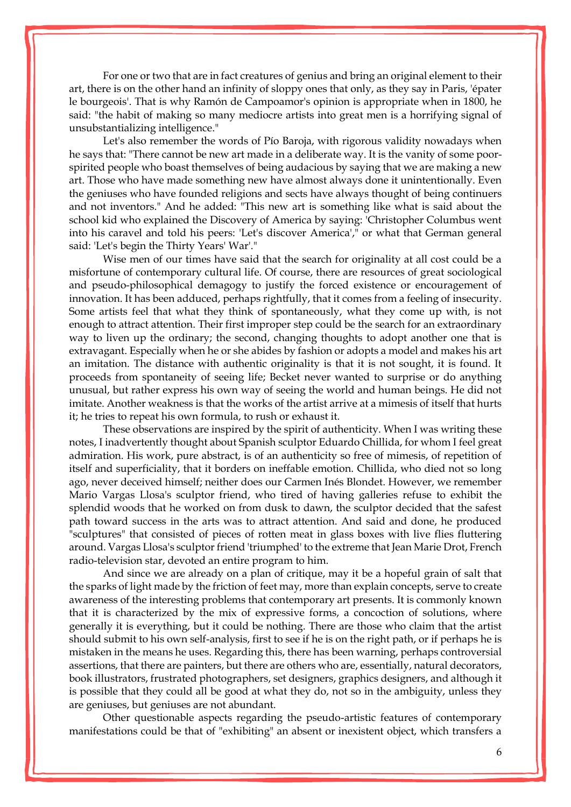For one or two that are in fact creatures of genius and bring an original element to their art, there is on the other hand an infinity of sloppy ones that only, as they say in Paris, 'épater le bourgeois'. That is why Ramón de Campoamor's opinion is appropriate when in 1800, he said: "the habit of making so many mediocre artists into great men is a horrifying signal of unsubstantializing intelligence."

Let's also remember the words of Pío Baroja, with rigorous validity nowadays when he says that: "There cannot be new art made in a deliberate way. It is the vanity of some poorspirited people who boast themselves of being audacious by saying that we are making a new art. Those who have made something new have almost always done it unintentionally. Even the geniuses who have founded religions and sects have always thought of being continuers and not inventors." And he added: "This new art is something like what is said about the school kid who explained the Discovery of America by saying: 'Christopher Columbus went into his caravel and told his peers: 'Let's discover America'," or what that German general said: 'Let's begin the Thirty Years' War'."

Wise men of our times have said that the search for originality at all cost could be a misfortune of contemporary cultural life. Of course, there are resources of great sociological and pseudo-philosophical demagogy to justify the forced existence or encouragement of innovation. It has been adduced, perhaps rightfully, that it comes from a feeling of insecurity. Some artists feel that what they think of spontaneously, what they come up with, is not enough to attract attention. Their first improper step could be the search for an extraordinary way to liven up the ordinary; the second, changing thoughts to adopt another one that is extravagant. Especially when he or she abides by fashion or adopts a model and makes his art an imitation. The distance with authentic originality is that it is not sought, it is found. It proceeds from spontaneity of seeing life; Becket never wanted to surprise or do anything unusual, but rather express his own way of seeing the world and human beings. He did not imitate. Another weakness is that the works of the artist arrive at a mimesis of itself that hurts it; he tries to repeat his own formula, to rush or exhaust it.

These observations are inspired by the spirit of authenticity. When I was writing these notes, I inadvertently thought about Spanish sculptor Eduardo Chillida, for whom I feel great admiration. His work, pure abstract, is of an authenticity so free of mimesis, of repetition of itself and superficiality, that it borders on ineffable emotion. Chillida, who died not so long ago, never deceived himself; neither does our Carmen Inés Blondet. However, we remember Mario Vargas Llosa's sculptor friend, who tired of having galleries refuse to exhibit the splendid woods that he worked on from dusk to dawn, the sculptor decided that the safest path toward success in the arts was to attract attention. And said and done, he produced "sculptures" that consisted of pieces of rotten meat in glass boxes with live flies fluttering around. Vargas Llosa's sculptor friend 'triumphed' to the extreme that Jean Marie Drot, French radio-television star, devoted an entire program to him.

And since we are already on a plan of critique, may it be a hopeful grain of salt that the sparks of light made by the friction of feet may, more than explain concepts, serve to create awareness of the interesting problems that contemporary art presents. It is commonly known that it is characterized by the mix of expressive forms, a concoction of solutions, where generally it is everything, but it could be nothing. There are those who claim that the artist should submit to his own self-analysis, first to see if he is on the right path, or if perhaps he is mistaken in the means he uses. Regarding this, there has been warning, perhaps controversial assertions, that there are painters, but there are others who are, essentially, natural decorators, book illustrators, frustrated photographers, set designers, graphics designers, and although it is possible that they could all be good at what they do, not so in the ambiguity, unless they are geniuses, but geniuses are not abundant.

Other questionable aspects regarding the pseudo-artistic features of contemporary manifestations could be that of "exhibiting" an absent or inexistent object, which transfers a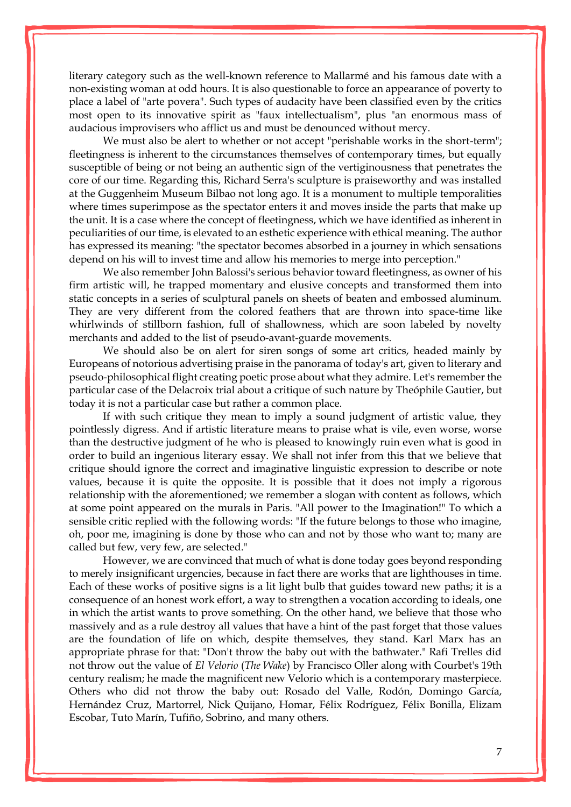literary category such as the well-known reference to Mallarmé and his famous date with a non-existing woman at odd hours. It is also questionable to force an appearance of poverty to place a label of "arte povera". Such types of audacity have been classified even by the critics most open to its innovative spirit as "faux intellectualism", plus "an enormous mass of audacious improvisers who afflict us and must be denounced without mercy.

We must also be alert to whether or not accept "perishable works in the short-term"; fleetingness is inherent to the circumstances themselves of contemporary times, but equally susceptible of being or not being an authentic sign of the vertiginousness that penetrates the core of our time. Regarding this, Richard Serra's sculpture is praiseworthy and was installed at the Guggenheim Museum Bilbao not long ago. It is a monument to multiple temporalities where times superimpose as the spectator enters it and moves inside the parts that make up the unit. It is a case where the concept of fleetingness, which we have identified as inherent in peculiarities of our time, is elevated to an esthetic experience with ethical meaning. The author has expressed its meaning: "the spectator becomes absorbed in a journey in which sensations depend on his will to invest time and allow his memories to merge into perception."

We also remember John Balossi's serious behavior toward fleetingness, as owner of his firm artistic will, he trapped momentary and elusive concepts and transformed them into static concepts in a series of sculptural panels on sheets of beaten and embossed aluminum. They are very different from the colored feathers that are thrown into space-time like whirlwinds of stillborn fashion, full of shallowness, which are soon labeled by novelty merchants and added to the list of pseudo-avant-guarde movements.

We should also be on alert for siren songs of some art critics, headed mainly by Europeans of notorious advertising praise in the panorama of today's art, given to literary and pseudo-philosophical flight creating poetic prose about what they admire. Let's remember the particular case of the Delacroix trial about a critique of such nature by Theóphile Gautier, but today it is not a particular case but rather a common place.

If with such critique they mean to imply a sound judgment of artistic value, they pointlessly digress. And if artistic literature means to praise what is vile, even worse, worse than the destructive judgment of he who is pleased to knowingly ruin even what is good in order to build an ingenious literary essay. We shall not infer from this that we believe that critique should ignore the correct and imaginative linguistic expression to describe or note values, because it is quite the opposite. It is possible that it does not imply a rigorous relationship with the aforementioned; we remember a slogan with content as follows, which at some point appeared on the murals in Paris. "All power to the Imagination!" To which a sensible critic replied with the following words: "If the future belongs to those who imagine, oh, poor me, imagining is done by those who can and not by those who want to; many are called but few, very few, are selected."

However, we are convinced that much of what is done today goes beyond responding to merely insignificant urgencies, because in fact there are works that are lighthouses in time. Each of these works of positive signs is a lit light bulb that guides toward new paths; it is a consequence of an honest work effort, a way to strengthen a vocation according to ideals, one in which the artist wants to prove something. On the other hand, we believe that those who massively and as a rule destroy all values that have a hint of the past forget that those values are the foundation of life on which, despite themselves, they stand. Karl Marx has an appropriate phrase for that: "Don't throw the baby out with the bathwater." Rafi Trelles did not throw out the value of *El Velorio* (*The Wake*) by [Francisco Oller](http://www.enciclopediapr.org/ing/article.cfm?ref=12020414) along with Courbet's 19th century realism; he made the magnificent new Velorio which is a contemporary masterpiece. Others who did not throw the baby out: Rosado del Valle, Rodón, Domingo García, Hernández Cruz, Martorrel, Nick Quijano, Homar, Félix Rodríguez, Félix Bonilla, Elizam Escobar, Tuto Marín, Tufiño, Sobrino, and many others.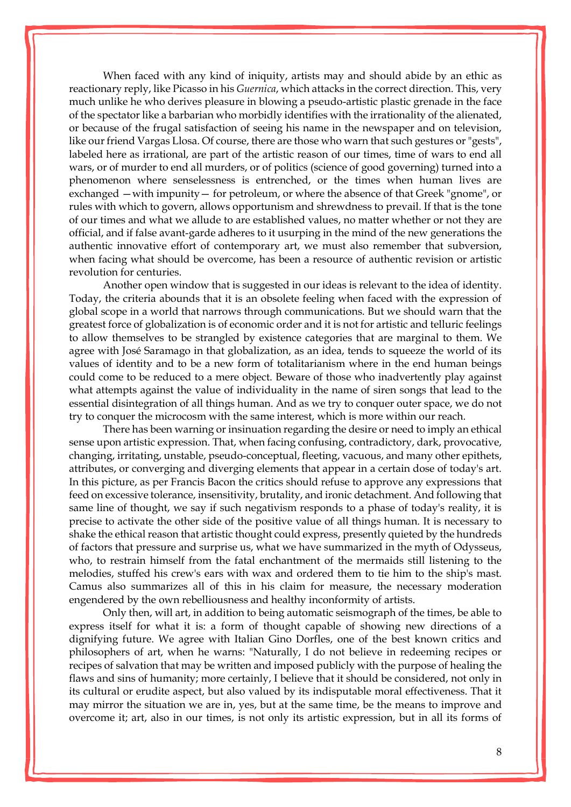When faced with any kind of iniquity, artists may and should abide by an ethic as reactionary reply, like Picasso in his *Guernica*, which attacks in the correct direction. This, very much unlike he who derives pleasure in blowing a pseudo-artistic plastic grenade in the face of the spectator like a barbarian who morbidly identifies with the irrationality of the alienated, or because of the frugal satisfaction of seeing his name in the newspaper and on television, like our friend Vargas Llosa. Of course, there are those who warn that such gestures or "gests", labeled here as irrational, are part of the artistic reason of our times, time of wars to end all wars, or of murder to end all murders, or of politics (science of good governing) turned into a phenomenon where senselessness is entrenched, or the times when human lives are exchanged —with impunity— for petroleum, or where the absence of that Greek "gnome", or rules with which to govern, allows opportunism and shrewdness to prevail. If that is the tone of our times and what we allude to are established values, no matter whether or not they are official, and if false avant-garde adheres to it usurping in the mind of the new generations the authentic innovative effort of contemporary art, we must also remember that subversion, when facing what should be overcome, has been a resource of authentic revision or artistic revolution for centuries.

Another open window that is suggested in our ideas is relevant to the idea of identity. Today, the criteria abounds that it is an obsolete feeling when faced with the expression of global scope in a world that narrows through communications. But we should warn that the greatest force of globalization is of economic order and it is not for artistic and telluric feelings to allow themselves to be strangled by existence categories that are marginal to them. We agree with José Saramago in that globalization, as an idea, tends to squeeze the world of its values of identity and to be a new form of totalitarianism where in the end human beings could come to be reduced to a mere object. Beware of those who inadvertently play against what attempts against the value of individuality in the name of siren songs that lead to the essential disintegration of all things human. And as we try to conquer outer space, we do not try to conquer the microcosm with the same interest, which is more within our reach.

There has been warning or insinuation regarding the desire or need to imply an ethical sense upon artistic expression. That, when facing confusing, contradictory, dark, provocative, changing, irritating, unstable, pseudo-conceptual, fleeting, vacuous, and many other epithets, attributes, or converging and diverging elements that appear in a certain dose of today's art. In this picture, as per Francis Bacon the critics should refuse to approve any expressions that feed on excessive tolerance, insensitivity, brutality, and ironic detachment. And following that same line of thought, we say if such negativism responds to a phase of today's reality, it is precise to activate the other side of the positive value of all things human. It is necessary to shake the ethical reason that artistic thought could express, presently quieted by the hundreds of factors that pressure and surprise us, what we have summarized in the myth of Odysseus, who, to restrain himself from the fatal enchantment of the mermaids still listening to the melodies, stuffed his crew's ears with wax and ordered them to tie him to the ship's mast. Camus also summarizes all of this in his claim for measure, the necessary moderation engendered by the own rebelliousness and healthy inconformity of artists.

Only then, will art, in addition to being automatic seismograph of the times, be able to express itself for what it is: a form of thought capable of showing new directions of a dignifying future. We agree with Italian Gino Dorfles, one of the best known critics and philosophers of art, when he warns: "Naturally, I do not believe in redeeming recipes or recipes of salvation that may be written and imposed publicly with the purpose of healing the flaws and sins of humanity; more certainly, I believe that it should be considered, not only in its cultural or erudite aspect, but also valued by its indisputable moral effectiveness. That it may mirror the situation we are in, yes, but at the same time, be the means to improve and overcome it; art, also in our times, is not only its artistic expression, but in all its forms of